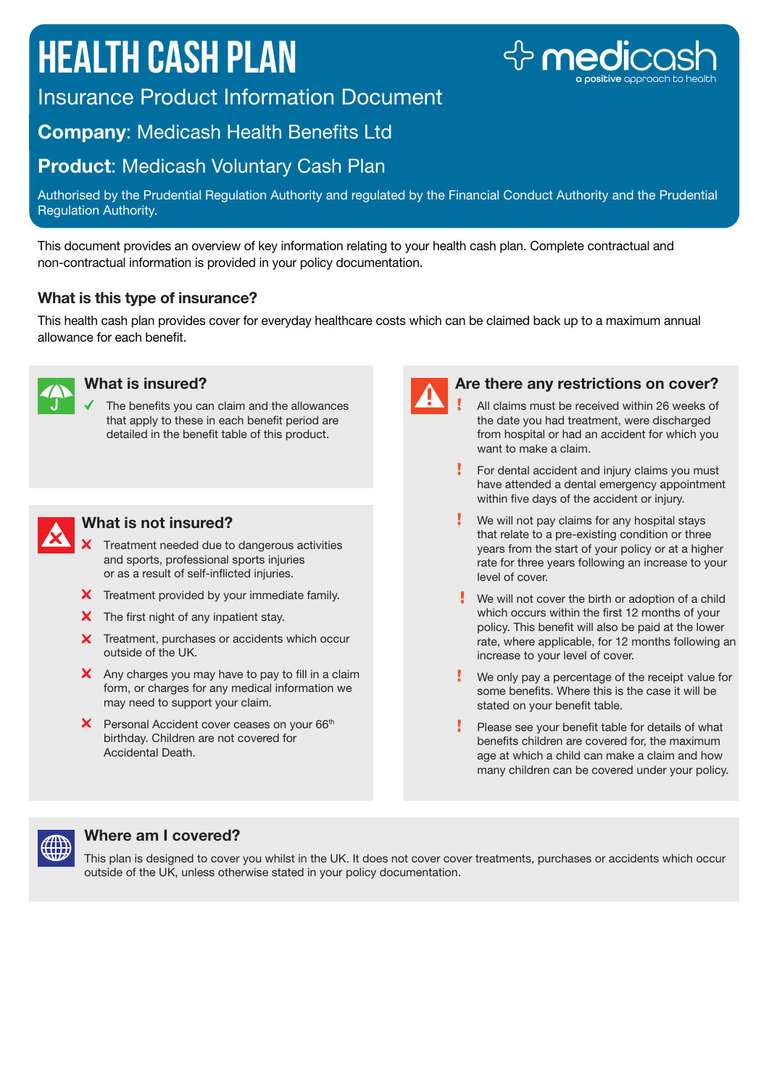# **Health Cash Plan**



Insurance Product Information Document

# Company: Medicash Health Benefits Ltd

## **Product: Medicash Voluntary Cash Plan**

Authorised by the Prudential Regulation Authority and regulated by the Financial Conduct Authority and the Prudential Regulation Authority.

This document provides an overview of key information relating to your health cash plan. Complete contractual and non-contractual information is provided in your policy documentation.

## What is this type of insurance?

This health cash plan provides cover for everyday healthcare costs which can be claimed back up to a maximum annual allowance for each benefit.



#### What is insured?

The benefits you can claim and the allowances that apply to these in each benefit period are detailed in the benefit table of this product.



#### What is not insured?

- X Treatment needed due to dangerous activities and sports, professional sports injuries or as a result of self-inflicted injuries.
- X Treatment provided by your immediate family.
- $\boldsymbol{\times}$  The first night of any inpatient stay.
- X Treatment, purchases or accidents which occur outside of the UK.
- $\mathsf{\times}$  Any charges you may have to pay to fill in a claim form, or charges for any medical information we may need to support your claim.
- $X$  Personal Accident cover ceases on your 66<sup>th</sup> birthday. Children are not covered for Accidental Death.



#### Are there any restrictions on cover?

- All claims must be received within 26 weeks of the date you had treatment, were discharged from hospital or had an accident for which you want to make a claim.
- For dental accident and injury claims you must have attended a dental emergency appointment within five days of the accident or injury.
- We will not pay claims for any hospital stays that relate to a pre-existing condition or three years from the start of your policy or at a higher rate for three years following an increase to your level of cover.
- $\cdot$  We will not cover the birth or adoption of a child which occurs within the first 12 months of your policy. This benefit will also be paid at the lower rate, where applicable, for 12 months following an increase to your level of cover.
- We only pay a percentage of the receipt value for some benefits. Where this is the case it will be stated on your benefit table.
- Please see your benefit table for details of what benefits children are covered for, the maximum age at which a child can make a claim and how many children can be covered under your policy.



## Where am I covered?

This plan is designed to cover you whilst in the UK. It does not cover cover treatments, purchases or accidents which occur outside of the UK, unless otherwise stated in your policy documentation.